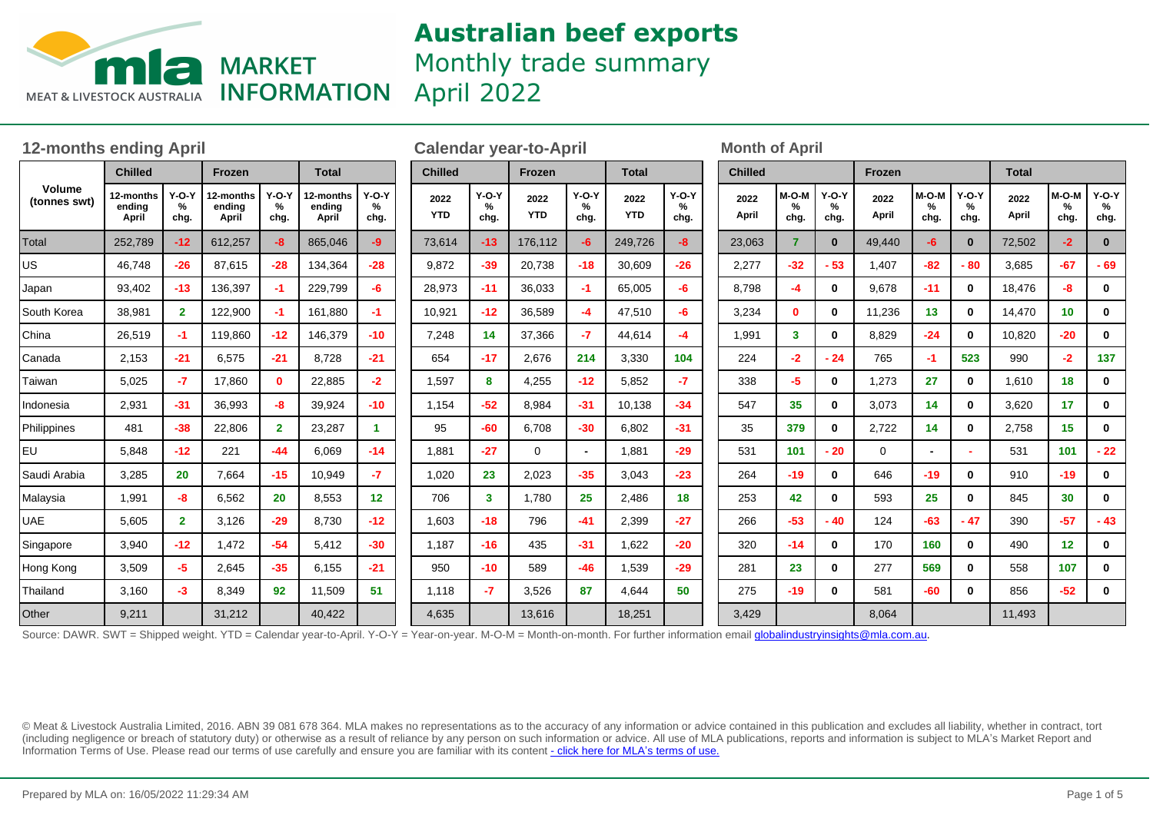

Monthly trade summary

April 2022

| <b>12-months ending April</b> |                              |                      |                              |                      |                              |                      | <b>Calendar year-to-April</b> |                      |                    |                      |                    |                      |  | <b>Month of April</b> |                    |                      |               |                    |                      |               |                    |                      |  |
|-------------------------------|------------------------------|----------------------|------------------------------|----------------------|------------------------------|----------------------|-------------------------------|----------------------|--------------------|----------------------|--------------------|----------------------|--|-----------------------|--------------------|----------------------|---------------|--------------------|----------------------|---------------|--------------------|----------------------|--|
| Volume<br>(tonnes swt)        | <b>Chilled</b>               |                      | Frozen                       |                      | <b>Total</b>                 |                      | <b>Chilled</b>                |                      | Frozen             |                      | <b>Total</b>       |                      |  | <b>Chilled</b>        |                    |                      | Frozen        |                    |                      | <b>Total</b>  |                    |                      |  |
|                               | 12-months<br>ending<br>April | $Y-O-Y$<br>%<br>chg. | 12-months<br>ending<br>April | $Y-O-Y$<br>%<br>chg. | 12-months<br>ending<br>April | $Y-O-Y$<br>%<br>chg. | 2022<br><b>YTD</b>            | $Y-O-Y$<br>%<br>chg. | 2022<br><b>YTD</b> | $Y-O-Y$<br>%<br>chg. | 2022<br><b>YTD</b> | $Y-O-Y$<br>℅<br>chg. |  | 2022<br>April         | M-O-M<br>%<br>chg. | $Y-O-Y$<br>%<br>chg. | 2022<br>April | M-O-M<br>%<br>chg. | $Y-O-Y$<br>℅<br>chg. | 2022<br>April | M-O-M<br>%<br>chg. | $Y-O-Y$<br>%<br>chg. |  |
| Total                         | 252,789                      | $-12$                | 612,257                      | $-8$                 | 865,046                      | -9                   | 73,614                        | $-13$                | 176,112            | $-6$                 | 249,726            | -8                   |  | 23,063                | 7                  | $\mathbf{0}$         | 49,440        | -6                 | $\mathbf{0}$         | 72,502        | $-2$               | $\mathbf{0}$         |  |
| US                            | 46,748                       | $-26$                | 87,615                       | $-28$                | 134,364                      | $-28$                | 9,872                         | $-39$                | 20,738             | $-18$                | 30,609             | $-26$                |  | 2,277                 | $-32$              | $-53$                | 1,407         | $-82$              | $-80$                | 3,685         | $-67$              | $-69$                |  |
| Japan                         | 93,402                       | $-13$                | 136,397                      | $-1$                 | 229,799                      | -6                   | 28,973                        | $-11$                | 36,033             | $-1$                 | 65,005             | -6                   |  | 8.798                 | $-4$               | $\mathbf 0$          | 9,678         | $-11$              | 0                    | 18,476        | -8                 | 0                    |  |
| South Korea                   | 38,981                       | $\mathbf{2}$         | 122,900                      | $-1$                 | 161,880                      | -1.                  | 10,921                        | $-12$                | 36,589             | -4                   | 47,510             | -6                   |  | 3,234                 | $\mathbf{0}$       | $\mathbf{0}$         | 11,236        | 13                 | $\bf{0}$             | 14,470        | 10 <sup>1</sup>    | 0                    |  |
| China                         | 26,519                       | -1                   | 119,860                      | $-12$                | 146,379                      | $-10$                | 7,248                         | 14                   | 37,366             | $-7$                 | 44,614             | -4                   |  | 1,991                 | $\mathbf{3}$       | $\mathbf{0}$         | 8,829         | $-24$              | $\mathbf{0}$         | 10,820        | $-20$              | $\mathbf 0$          |  |
| Canada                        | 2,153                        | $-21$                | 6,575                        | $-21$                | 8,728                        | $-21$                | 654                           | $-17$                | 2,676              | 214                  | 3,330              | 104                  |  | 224                   | $-2$               | $-24$                | 765           | -1                 | 523                  | 990           | $-2$               | 137                  |  |
| Taiwan                        | 5,025                        | $-7$                 | 17,860                       | $\mathbf{0}$         | 22,885                       | $-2$                 | 1,597                         | 8                    | 4,255              | $-12$                | 5,852              | $-7$                 |  | 338                   | $-5$               | $\mathbf{0}$         | 1,273         | 27                 | $\mathbf 0$          | 1,610         | 18                 | $\mathbf 0$          |  |
| Indonesia                     | 2,931                        | $-31$                | 36,993                       | -8                   | 39,924                       | $-10$                | 1,154                         | $-52$                | 8,984              | $-31$                | 10,138             | $-34$                |  | 547                   | 35                 | $\mathbf{0}$         | 3,073         | 14                 | $\mathbf 0$          | 3,620         | 17 <sup>2</sup>    | 0                    |  |
| Philippines                   | 481                          | $-38$                | 22,806                       | $\overline{2}$       | 23,287                       | 1.                   | 95                            | $-60$                | 6,708              | $-30$                | 6,802              | $-31$                |  | 35                    | 379                | $\mathbf{0}$         | 2,722         | 14                 | 0                    | 2,758         | 15                 | 0                    |  |
| EU                            | 5,848                        | $-12$                | 221                          | $-44$                | 6,069                        | $-14$                | 1,881                         | $-27$                | $\Omega$           | $\blacksquare$       | 1,881              | $-29$                |  | 531                   | 101                | $-20$                | $\mathbf{0}$  |                    |                      | 531           | 101                | $-22$                |  |
| Saudi Arabia                  | 3,285                        | 20                   | 7,664                        | $-15$                | 10,949                       | -7                   | 1,020                         | 23                   | 2,023              | $-35$                | 3,043              | $-23$                |  | 264                   | $-19$              | $\mathbf{0}$         | 646           | $-19$              | $\mathbf 0$          | 910           | $-19$              | $\mathbf 0$          |  |
| Malaysia                      | 1,991                        | -8                   | 6,562                        | 20                   | 8,553                        | 12                   | 706                           | 3                    | 1,780              | 25                   | 2,486              | 18                   |  | 253                   | 42                 | $\mathbf{0}$         | 593           | 25                 | $\mathbf 0$          | 845           | 30                 | $\mathbf 0$          |  |
| UAE                           | 5,605                        | $\overline{2}$       | 3.126                        | $-29$                | 8,730                        | $-12$                | 1,603                         | $-18$                | 796                | $-41$                | 2,399              | $-27$                |  | 266                   | $-53$              | $-40$                | 124           | $-63$              | $-47$                | 390           | $-57$              | $-43$                |  |
| Singapore                     | 3,940                        | $-12$                | 1.472                        | $-54$                | 5,412                        | $-30$                | 1,187                         | $-16$                | 435                | $-31$                | 1,622              | $-20$                |  | 320                   | $-14$              | $\mathbf{0}$         | 170           | 160                | 0                    | 490           | 12 <sup>2</sup>    | 0                    |  |
| Hong Kong                     | 3,509                        | $-5$                 | 2,645                        | $-35$                | 6,155                        | $-21$                | 950                           | $-10$                | 589                | $-46$                | 1,539              | $-29$                |  | 281                   | 23                 | $\mathbf{0}$         | 277           | 569                | $\mathbf{0}$         | 558           | 107                | $\mathbf{0}$         |  |
| Thailand                      | 3,160                        | $-3$                 | 8,349                        | 92                   | 11,509                       | 51                   | 1,118                         | $-7$                 | 3,526              | 87                   | 4,644              | 50                   |  | 275                   | $-19$              | $\mathbf{0}$         | 581           | $-60$              | $\mathbf{0}$         | 856           | $-52$              | $\mathbf 0$          |  |
| Other                         | 9,211                        |                      | 31,212                       |                      | 40,422                       |                      | 4,635                         |                      | 13,616             |                      | 18,251             |                      |  | 3,429                 |                    |                      | 8,064         |                    |                      | 11,493        |                    |                      |  |

Source: DAWR. SWT = Shipped weight. YTD = Calendar year-to-April. Y-O-Y = Year-on-year. M-O-M = Month-on-month. For further information email *globalindustryinsights@mla.com.au*.

© Meat & Livestock Australia Limited, 2016. ABN 39 081 678 364. MLA makes no representations as to the accuracy of any information or advice contained in this publication and excludes all liability, whether in contract, tort (including negligence or breach of statutory duty) or otherwise as a result of reliance by any person on such information or advice. All use of MLA publications, reports and information is subject to MLA's Market Report an Information Terms of Use. Please read our terms of use carefully and ensure you are familiar with its content [- click here for MLA](http://www.mla.com.au/files/edae0364-a185-4a6f-9dff-a42700d1463a/MLA-Market-Report-and-Information-Terms-of-use-Dec-2014.pdf)'[s terms of use.](http://www.mla.com.au/files/edae0364-a185-4a6f-9dff-a42700d1463a/MLA-Market-Report-and-Information-Terms-of-use-Dec-2014.pdf)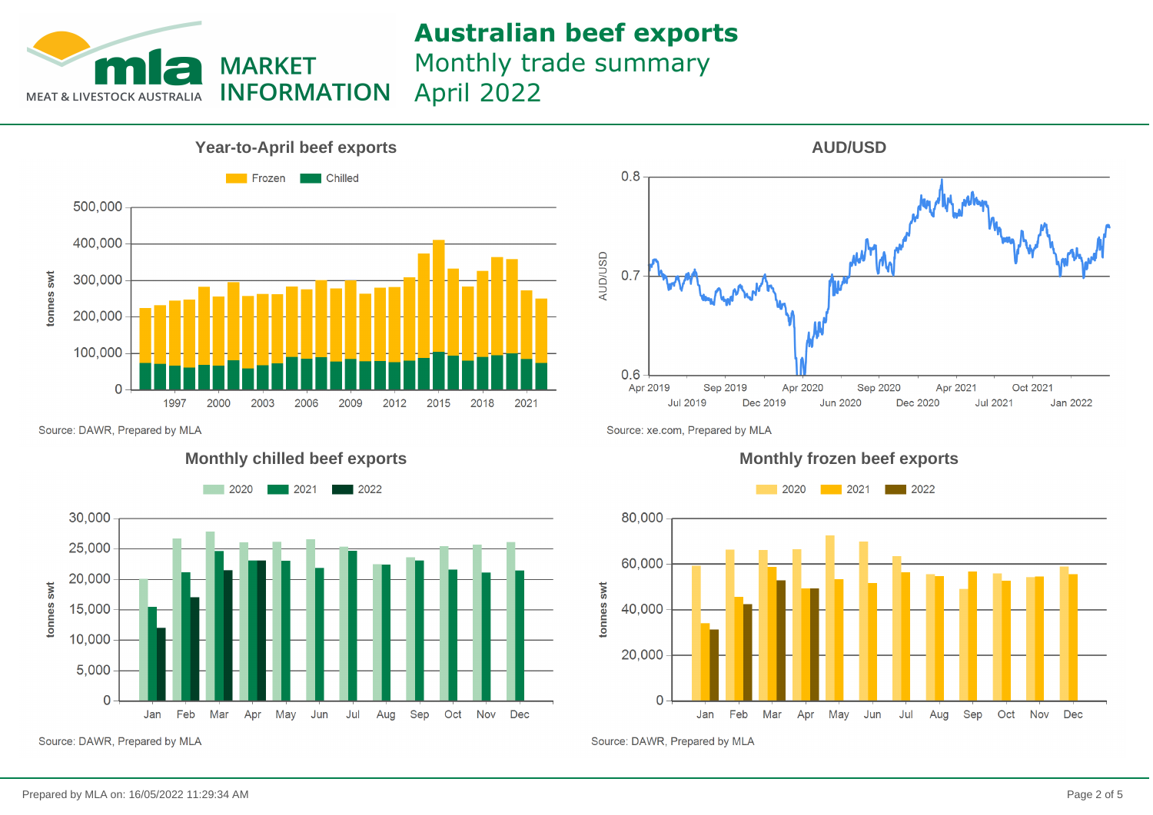

Monthly trade summary April 2022



 $0.8$ **AUD/USD**  $0.7$  $0.6$ Apr 2020 Apr 2019 Sep 2019 Sep 2020 Apr 2021 Oct 2021 **Jul 2019** Dec 2019 **Jun 2020** Dec 2020 **Jul 2021** Jan 2022

**AUD/USD**

Source: DAWR, Prepared by MLA







Source: DAWR, Prepared by MLA

Source: xe.com, Prepared by MLA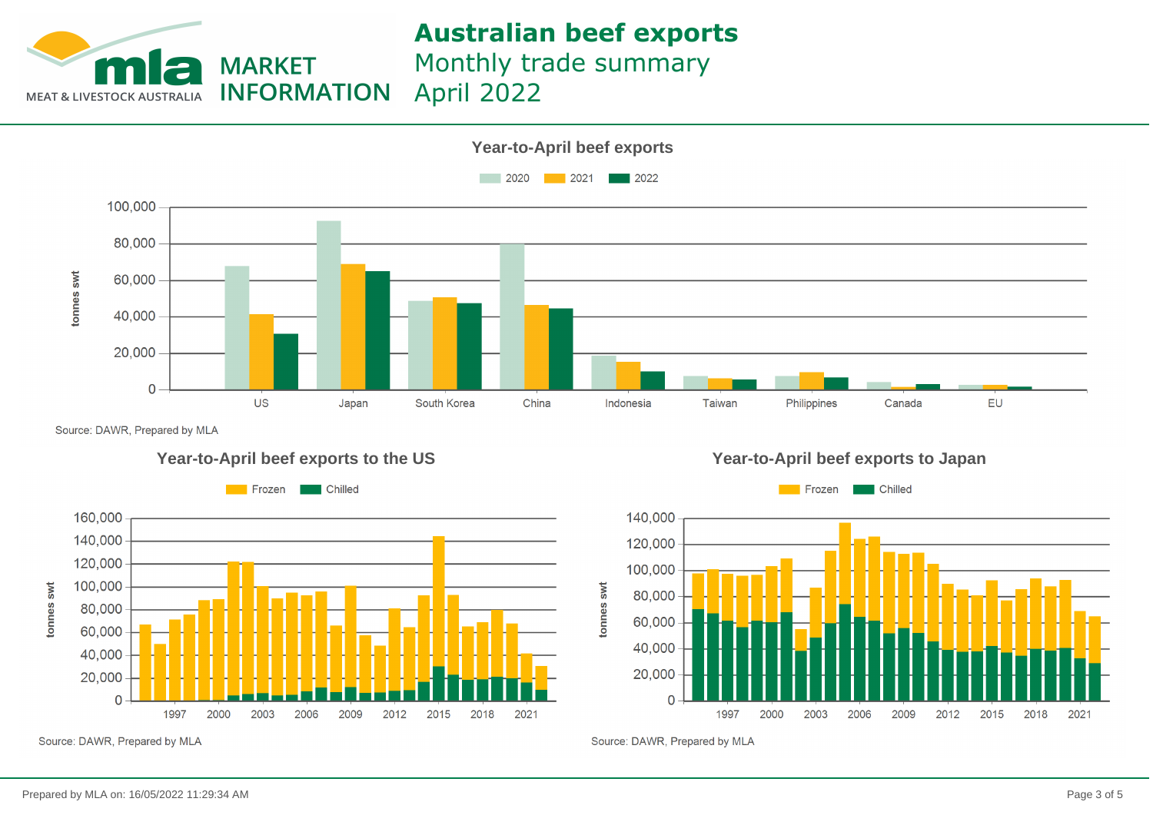

Monthly trade summary

April 2022**INFORMATION** 



Source: DAWR, Prepared by MLA







Source: DAWR, Prepared by MLA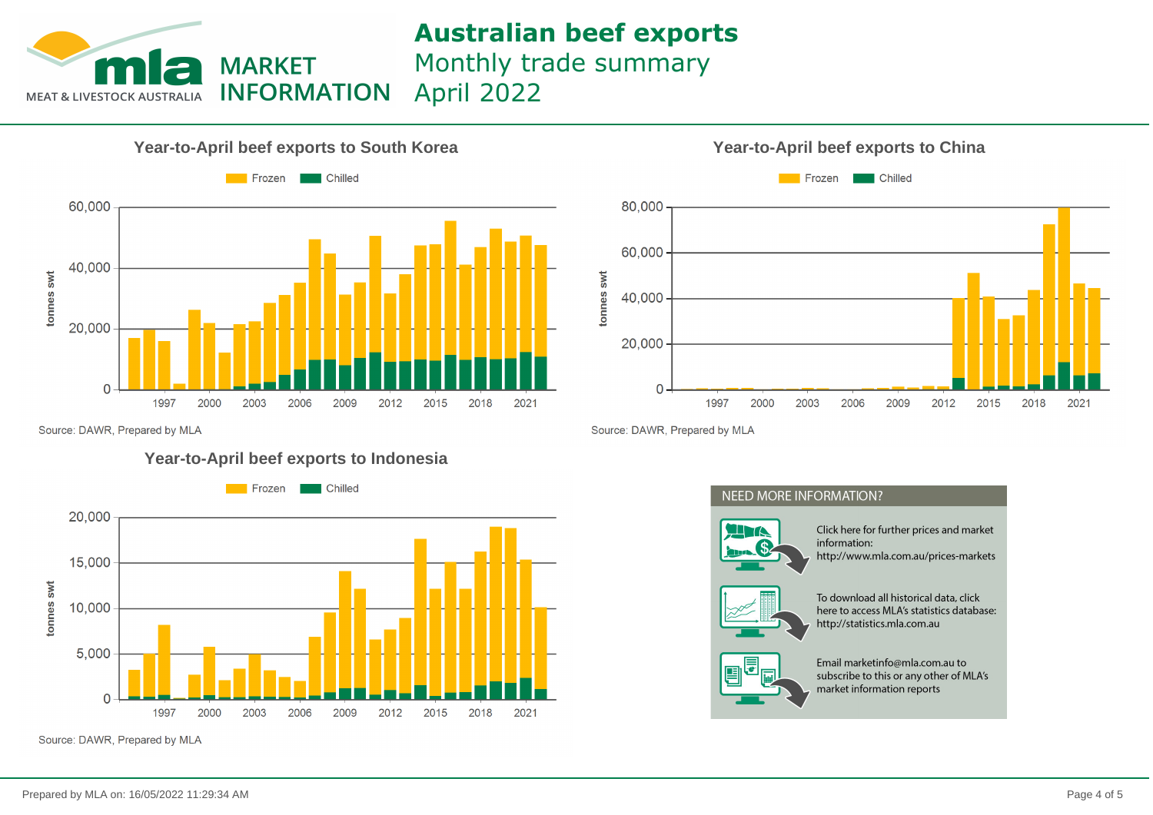

Monthly trade summary

April 2022**INFORMATION** 





Source: DAWR, Prepared by MLA

### **Year-to-April beef exports to Indonesia**



Source: DAWR, Prepared by MLA

Source: DAWR, Prepared by MLA

### **NEED MORE INFORMATION?**



Click here for further prices and market information: http://www.mla.com.au/prices-markets



To download all historical data, click here to access MLA's statistics database: http://statistics.mla.com.au



Email marketinfo@mla.com.au to subscribe to this or any other of MLA's market information reports